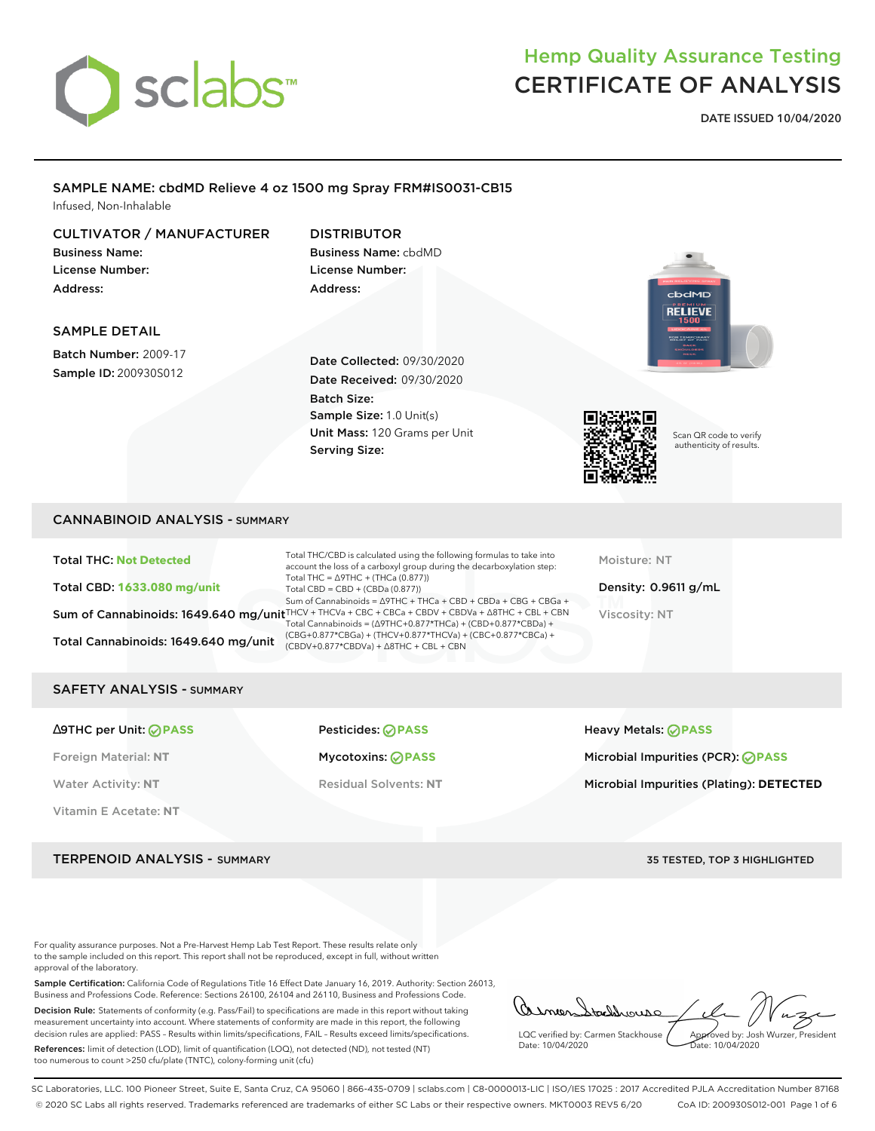

**DATE ISSUED 10/04/2020**

### SAMPLE NAME: cbdMD Relieve 4 oz 1500 mg Spray FRM#IS0031-CB15 Infused, Non-Inhalable

### CULTIVATOR / MANUFACTURER

Business Name: License Number: Address:

### DISTRIBUTOR Business Name: cbdMD License Number: Address:

### SAMPLE DETAIL

Batch Number: 2009-17 Sample ID: 200930S012

Date Collected: 09/30/2020 Date Received: 09/30/2020 Batch Size: Sample Size: 1.0 Unit(s) Unit Mass: 120 Grams per Unit Serving Size:



Scan QR code to verify authenticity of results.

**RELIEVE** 

### CANNABINOID ANALYSIS - SUMMARY

| <b>Total THC: Not Detected</b>       | Total THC/CBD is calculated using the following formulas to take into<br>account the loss of a carboxyl group during the decarboxylation step:                              |
|--------------------------------------|-----------------------------------------------------------------------------------------------------------------------------------------------------------------------------|
| Total CBD: 1633.080 mg/unit          | Total THC = $\triangle$ 9THC + (THCa (0.877))<br>Total CBD = $CBD + (CBDa (0.877))$                                                                                         |
|                                      | Sum of Cannabinoids = ∆9THC + THCa + CBD + CBDa + CBG + CBGa +<br>Sum of Cannabinoids: 1649.640 mg/unit $HPCV + THCVa + CBC + CBC + CBDV + CBDVa + \Delta 8THC + CBL + CBN$ |
|                                      | Total Cannabinoids = $(\Delta$ 9THC+0.877*THCa) + (CBD+0.877*CBDa) +                                                                                                        |
| Total Cannabinoids: 1649.640 mg/unit | (CBG+0.877*CBGa) + (THCV+0.877*THCVa) + (CBC+0.877*CBCa) +<br>$(CBDV+0.877*CBDVa) + \Delta 8THC + CBL + CBN$                                                                |

Moisture: NT

Density: 0.9611 g/mL Viscosity: NT

#### SAFETY ANALYSIS - SUMMARY

| $\triangle$ 9THC per Unit: $\odot$ PASS | Pesticides: <b>⊘PASS</b>     | Heavy Metals: <b>PASS</b>                  |
|-----------------------------------------|------------------------------|--------------------------------------------|
| Foreign Material: NT                    | Mycotoxins: ⊘PASS            | Microbial Impurities (PCR): $\oslash$ PASS |
| <b>Water Activity: NT</b>               | <b>Residual Solvents: NT</b> | Microbial Impurities (Plating): DETECTED   |
| Vitamin E Acetate: NT                   |                              |                                            |

TERPENOID ANALYSIS - SUMMARY 35 TESTED, TOP 3 HIGHLIGHTED

For quality assurance purposes. Not a Pre-Harvest Hemp Lab Test Report. These results relate only to the sample included on this report. This report shall not be reproduced, except in full, without written approval of the laboratory.

Sample Certification: California Code of Regulations Title 16 Effect Date January 16, 2019. Authority: Section 26013, Business and Professions Code. Reference: Sections 26100, 26104 and 26110, Business and Professions Code.

Decision Rule: Statements of conformity (e.g. Pass/Fail) to specifications are made in this report without taking measurement uncertainty into account. Where statements of conformity are made in this report, the following decision rules are applied: PASS – Results within limits/specifications, FAIL – Results exceed limits/specifications.

References: limit of detection (LOD), limit of quantification (LOQ), not detected (ND), not tested (NT) too numerous to count >250 cfu/plate (TNTC), colony-forming unit (cfu)

Asmer tackhware LQC verified by: Carmen Stackhouse Approved by: Josh Wurzer, President Date: 10/04/2020 Date: 10/04/2020

SC Laboratories, LLC. 100 Pioneer Street, Suite E, Santa Cruz, CA 95060 | 866-435-0709 | sclabs.com | C8-0000013-LIC | ISO/IES 17025 : 2017 Accredited PJLA Accreditation Number 87168 © 2020 SC Labs all rights reserved. Trademarks referenced are trademarks of either SC Labs or their respective owners. MKT0003 REV5 6/20 CoA ID: 200930S012-001 Page 1 of 6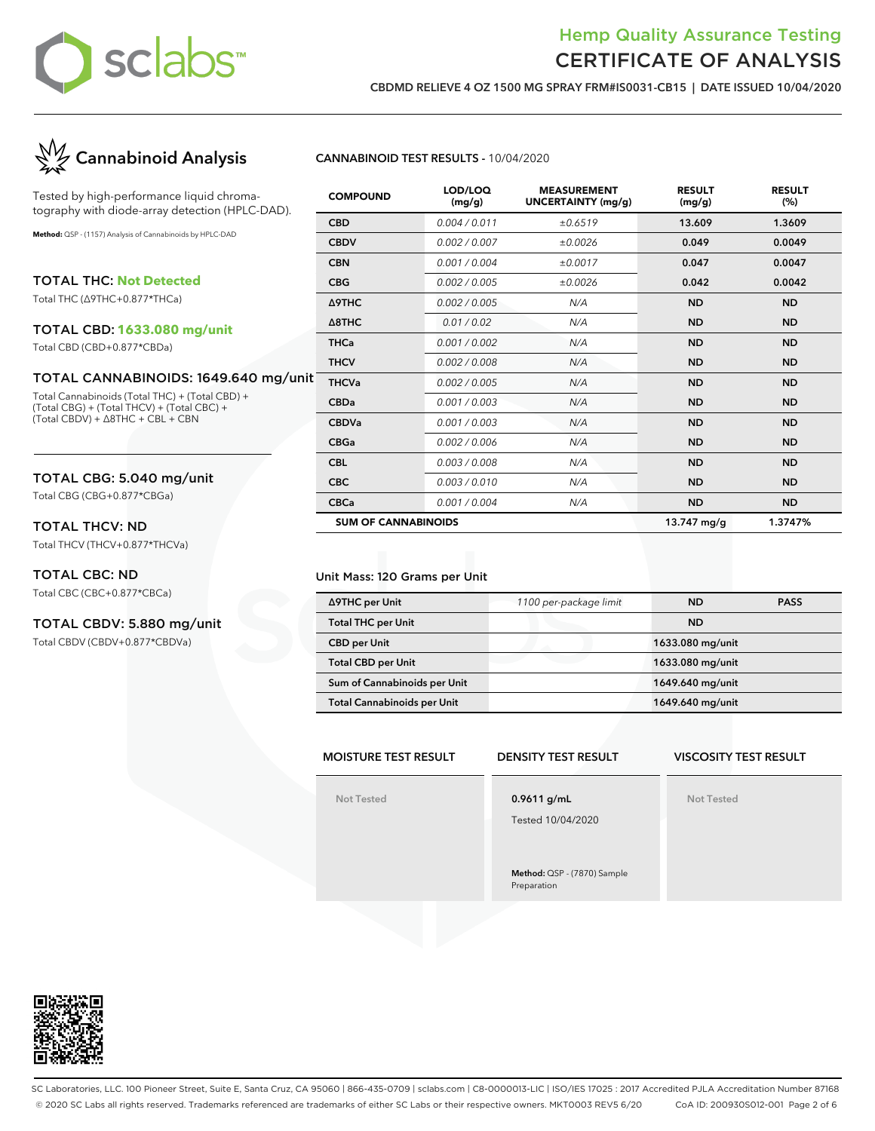

**CBDMD RELIEVE 4 OZ 1500 MG SPRAY FRM#IS0031-CB15 | DATE ISSUED 10/04/2020**



Tested by high-performance liquid chromatography with diode-array detection (HPLC-DAD).

**Method:** QSP - (1157) Analysis of Cannabinoids by HPLC-DAD

TOTAL THC: **Not Detected** Total THC (∆9THC+0.877\*THCa)

### TOTAL CBD: **1633.080 mg/unit**

Total CBD (CBD+0.877\*CBDa)

### TOTAL CANNABINOIDS: 1649.640 mg/unit

Total Cannabinoids (Total THC) + (Total CBD) + (Total CBG) + (Total THCV) + (Total CBC) + (Total CBDV) + ∆8THC + CBL + CBN

### TOTAL CBG: 5.040 mg/unit

Total CBG (CBG+0.877\*CBGa)

### TOTAL THCV: ND

Total THCV (THCV+0.877\*THCVa)

### TOTAL CBC: ND

Total CBC (CBC+0.877\*CBCa)

#### TOTAL CBDV: 5.880 mg/unit

Total CBDV (CBDV+0.877\*CBDVa)

### **CANNABINOID TEST RESULTS -** 10/04/2020

| <b>COMPOUND</b>            | LOD/LOQ<br>(mg/g) | <b>MEASUREMENT</b><br><b>UNCERTAINTY (mg/g)</b> | <b>RESULT</b><br>(mg/g) | <b>RESULT</b><br>(%) |
|----------------------------|-------------------|-------------------------------------------------|-------------------------|----------------------|
| <b>CBD</b>                 | 0.004 / 0.011     | ±0.6519                                         | 13.609                  | 1.3609               |
| <b>CBDV</b>                | 0.002 / 0.007     | ±0.0026                                         | 0.049                   | 0.0049               |
| <b>CBN</b>                 | 0.001 / 0.004     | ±0.0017                                         | 0.047                   | 0.0047               |
| <b>CBG</b>                 | 0.002/0.005       | ±0.0026                                         | 0.042                   | 0.0042               |
| Δ9THC                      | 0.002 / 0.005     | N/A                                             | <b>ND</b>               | <b>ND</b>            |
| $\triangle$ 8THC           | 0.01 / 0.02       | N/A                                             | <b>ND</b>               | <b>ND</b>            |
| <b>THCa</b>                | 0.001 / 0.002     | N/A                                             | <b>ND</b>               | <b>ND</b>            |
| <b>THCV</b>                | 0.002 / 0.008     | N/A                                             | <b>ND</b>               | <b>ND</b>            |
| <b>THCVa</b>               | 0.002 / 0.005     | N/A                                             | <b>ND</b>               | <b>ND</b>            |
| <b>CBDa</b>                | 0.001 / 0.003     | N/A                                             | <b>ND</b>               | <b>ND</b>            |
| <b>CBDVa</b>               | 0.001 / 0.003     | N/A                                             | <b>ND</b>               | <b>ND</b>            |
| <b>CBGa</b>                | 0.002 / 0.006     | N/A                                             | <b>ND</b>               | <b>ND</b>            |
| <b>CBL</b>                 | 0.003 / 0.008     | N/A                                             | <b>ND</b>               | <b>ND</b>            |
| <b>CBC</b>                 | 0.003 / 0.010     | N/A                                             | <b>ND</b>               | <b>ND</b>            |
| <b>CBCa</b>                | 0.001/0.004       | N/A                                             | <b>ND</b>               | <b>ND</b>            |
| <b>SUM OF CANNABINOIDS</b> |                   |                                                 | 13.747 mg/g             | 1.3747%              |

#### Unit Mass: 120 Grams per Unit

| ∆9THC per Unit                     | 1100 per-package limit | <b>ND</b>        | <b>PASS</b> |
|------------------------------------|------------------------|------------------|-------------|
| <b>Total THC per Unit</b>          |                        | <b>ND</b>        |             |
| <b>CBD per Unit</b>                |                        | 1633.080 mg/unit |             |
| <b>Total CBD per Unit</b>          |                        | 1633.080 mg/unit |             |
| Sum of Cannabinoids per Unit       |                        | 1649.640 mg/unit |             |
| <b>Total Cannabinoids per Unit</b> |                        | 1649.640 mg/unit |             |

### **MOISTURE TEST RESULT**

**Not Tested**

### **DENSITY TEST RESULT**

**VISCOSITY TEST RESULT**

**Not Tested**

### **0.9611 g/mL**

Tested 10/04/2020

**Method:** QSP - (7870) Sample Preparation



SC Laboratories, LLC. 100 Pioneer Street, Suite E, Santa Cruz, CA 95060 | 866-435-0709 | sclabs.com | C8-0000013-LIC | ISO/IES 17025 : 2017 Accredited PJLA Accreditation Number 87168 © 2020 SC Labs all rights reserved. Trademarks referenced are trademarks of either SC Labs or their respective owners. MKT0003 REV5 6/20 CoA ID: 200930S012-001 Page 2 of 6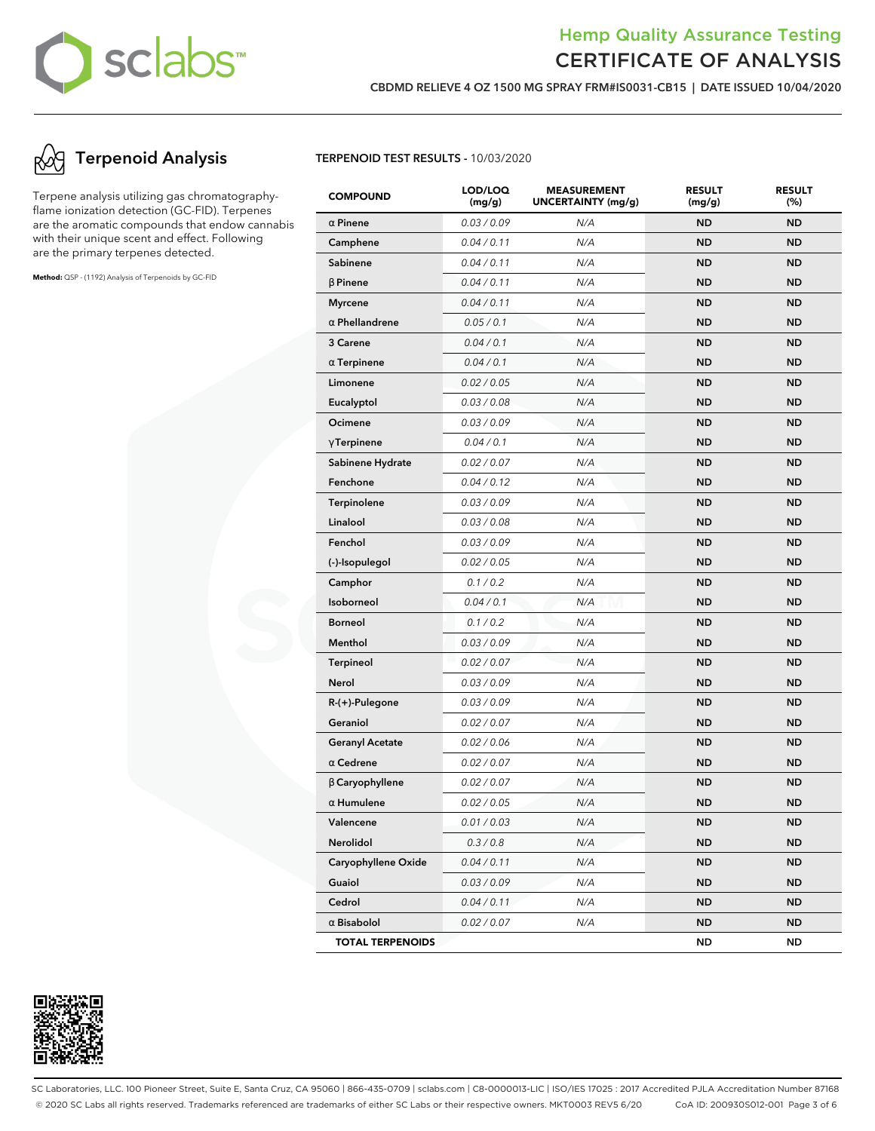

**CBDMD RELIEVE 4 OZ 1500 MG SPRAY FRM#IS0031-CB15 | DATE ISSUED 10/04/2020**

### **Terpenoid Analysis**

Terpene analysis utilizing gas chromatographyflame ionization detection (GC-FID). Terpenes are the aromatic compounds that endow cannabis with their unique scent and effect. Following are the primary terpenes detected.

**Method:** QSP - (1192) Analysis of Terpenoids by GC-FID

#### **TERPENOID TEST RESULTS -** 10/03/2020

| <b>COMPOUND</b>         | LOD/LOQ<br>(mg/g) | <b>MEASUREMENT</b><br><b>UNCERTAINTY (mg/g)</b> | <b>RESULT</b><br>(mg/g) | <b>RESULT</b><br>(%) |
|-------------------------|-------------------|-------------------------------------------------|-------------------------|----------------------|
| $\alpha$ Pinene         | 0.03 / 0.09       | N/A                                             | <b>ND</b>               | <b>ND</b>            |
| Camphene                | 0.04 / 0.11       | N/A                                             | <b>ND</b>               | <b>ND</b>            |
| Sabinene                | 0.04 / 0.11       | N/A                                             | <b>ND</b>               | <b>ND</b>            |
| $\beta$ Pinene          | 0.04 / 0.11       | N/A                                             | <b>ND</b>               | <b>ND</b>            |
| <b>Myrcene</b>          | 0.04 / 0.11       | N/A                                             | <b>ND</b>               | <b>ND</b>            |
| $\alpha$ Phellandrene   | 0.05 / 0.1        | N/A                                             | <b>ND</b>               | <b>ND</b>            |
| 3 Carene                | 0.04 / 0.1        | N/A                                             | <b>ND</b>               | <b>ND</b>            |
| $\alpha$ Terpinene      | 0.04 / 0.1        | N/A                                             | <b>ND</b>               | <b>ND</b>            |
| Limonene                | 0.02 / 0.05       | N/A                                             | <b>ND</b>               | <b>ND</b>            |
| Eucalyptol              | 0.03 / 0.08       | N/A                                             | <b>ND</b>               | <b>ND</b>            |
| Ocimene                 | 0.03 / 0.09       | N/A                                             | <b>ND</b>               | <b>ND</b>            |
| $\gamma$ Terpinene      | 0.04 / 0.1        | N/A                                             | <b>ND</b>               | <b>ND</b>            |
| Sabinene Hydrate        | 0.02 / 0.07       | N/A                                             | <b>ND</b>               | <b>ND</b>            |
| Fenchone                | 0.04 / 0.12       | N/A                                             | <b>ND</b>               | <b>ND</b>            |
| Terpinolene             | 0.03 / 0.09       | N/A                                             | <b>ND</b>               | <b>ND</b>            |
| Linalool                | 0.03 / 0.08       | N/A                                             | <b>ND</b>               | <b>ND</b>            |
| Fenchol                 | 0.03 / 0.09       | N/A                                             | <b>ND</b>               | <b>ND</b>            |
| (-)-Isopulegol          | 0.02 / 0.05       | N/A                                             | <b>ND</b>               | <b>ND</b>            |
| Camphor                 | 0.1 / 0.2         | N/A                                             | <b>ND</b>               | <b>ND</b>            |
| Isoborneol              | 0.04 / 0.1        | N/A                                             | <b>ND</b>               | <b>ND</b>            |
| <b>Borneol</b>          | 0.1 / 0.2         | N/A                                             | <b>ND</b>               | <b>ND</b>            |
| Menthol                 | 0.03 / 0.09       | N/A                                             | <b>ND</b>               | <b>ND</b>            |
| <b>Terpineol</b>        | 0.02 / 0.07       | N/A                                             | <b>ND</b>               | <b>ND</b>            |
| Nerol                   | 0.03 / 0.09       | N/A                                             | <b>ND</b>               | <b>ND</b>            |
| R-(+)-Pulegone          | 0.03 / 0.09       | N/A                                             | <b>ND</b>               | <b>ND</b>            |
| Geraniol                | 0.02 / 0.07       | N/A                                             | <b>ND</b>               | <b>ND</b>            |
| <b>Geranyl Acetate</b>  | 0.02 / 0.06       | N/A                                             | <b>ND</b>               | <b>ND</b>            |
| $\alpha$ Cedrene        | 0.02 / 0.07       | N/A                                             | <b>ND</b>               | <b>ND</b>            |
| $\beta$ Caryophyllene   | 0.02 / 0.07       | N/A                                             | <b>ND</b>               | <b>ND</b>            |
| $\alpha$ Humulene       | 0.02 / 0.05       | N/A                                             | <b>ND</b>               | <b>ND</b>            |
| Valencene               | 0.01 / 0.03       | N/A                                             | ND                      | <b>ND</b>            |
| Nerolidol               | 0.3 / 0.8         | N/A                                             | ND                      | ND                   |
| Caryophyllene Oxide     | 0.04 / 0.11       | N/A                                             | <b>ND</b>               | <b>ND</b>            |
| Guaiol                  | 0.03 / 0.09       | N/A                                             | <b>ND</b>               | <b>ND</b>            |
| Cedrol                  | 0.04 / 0.11       | N/A                                             | ND                      | <b>ND</b>            |
| $\alpha$ Bisabolol      | 0.02 / 0.07       | N/A                                             | <b>ND</b>               | <b>ND</b>            |
| <b>TOTAL TERPENOIDS</b> |                   |                                                 | ND                      | <b>ND</b>            |



SC Laboratories, LLC. 100 Pioneer Street, Suite E, Santa Cruz, CA 95060 | 866-435-0709 | sclabs.com | C8-0000013-LIC | ISO/IES 17025 : 2017 Accredited PJLA Accreditation Number 87168 © 2020 SC Labs all rights reserved. Trademarks referenced are trademarks of either SC Labs or their respective owners. MKT0003 REV5 6/20 CoA ID: 200930S012-001 Page 3 of 6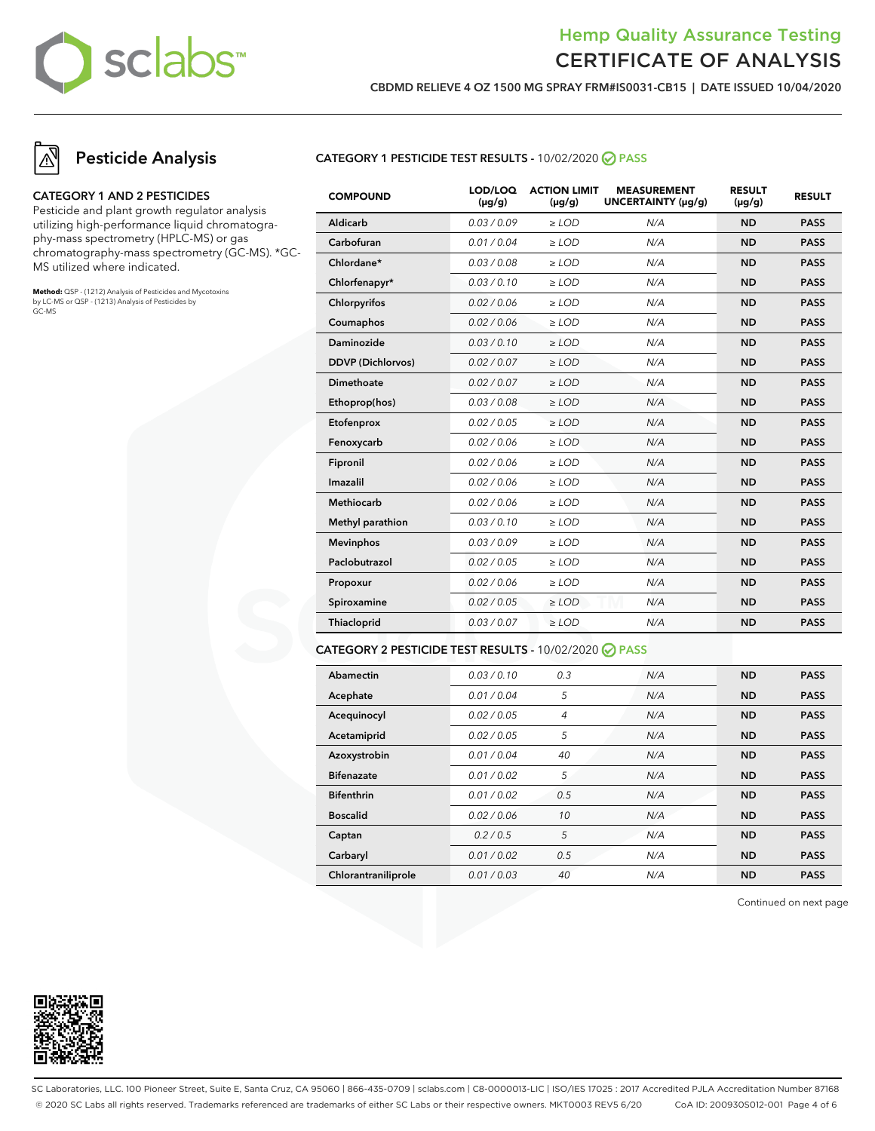

**CBDMD RELIEVE 4 OZ 1500 MG SPRAY FRM#IS0031-CB15 | DATE ISSUED 10/04/2020**

### **Pesticide Analysis**

#### **CATEGORY 1 AND 2 PESTICIDES**

Pesticide and plant growth regulator analysis utilizing high-performance liquid chromatography-mass spectrometry (HPLC-MS) or gas chromatography-mass spectrometry (GC-MS). \*GC-MS utilized where indicated.

**Method:** QSP - (1212) Analysis of Pesticides and Mycotoxins by LC-MS or QSP - (1213) Analysis of Pesticides by GC-MS

### **CATEGORY 1 PESTICIDE TEST RESULTS -** 10/02/2020 **PASS**

| <b>COMPOUND</b>          | LOD/LOQ<br>$(\mu g/g)$ | <b>ACTION LIMIT</b><br>$(\mu q/q)$ | <b>MEASUREMENT</b><br>UNCERTAINTY (µq/q) | <b>RESULT</b><br>$(\mu g/g)$ | <b>RESULT</b> |
|--------------------------|------------------------|------------------------------------|------------------------------------------|------------------------------|---------------|
| Aldicarb                 | 0.03/0.09              | $>$ LOD                            | N/A                                      | <b>ND</b>                    | <b>PASS</b>   |
| Carbofuran               | 0.01 / 0.04            | $\ge$ LOD                          | N/A                                      | <b>ND</b>                    | <b>PASS</b>   |
| Chlordane*               | 0.03 / 0.08            | $\ge$ LOD                          | N/A                                      | <b>ND</b>                    | <b>PASS</b>   |
| Chlorfenapyr*            | 0.03/0.10              | $\ge$ LOD                          | N/A                                      | <b>ND</b>                    | <b>PASS</b>   |
| Chlorpyrifos             | 0.02 / 0.06            | $\ge$ LOD                          | N/A                                      | <b>ND</b>                    | <b>PASS</b>   |
| Coumaphos                | 0.02 / 0.06            | $\ge$ LOD                          | N/A                                      | <b>ND</b>                    | <b>PASS</b>   |
| Daminozide               | 0.03/0.10              | $>$ LOD                            | N/A                                      | <b>ND</b>                    | <b>PASS</b>   |
| <b>DDVP</b> (Dichlorvos) | 0.02 / 0.07            | $\ge$ LOD                          | N/A                                      | <b>ND</b>                    | <b>PASS</b>   |
| <b>Dimethoate</b>        | 0.02 / 0.07            | $\ge$ LOD                          | N/A                                      | <b>ND</b>                    | <b>PASS</b>   |
| Ethoprop(hos)            | 0.03 / 0.08            | $\ge$ LOD                          | N/A                                      | <b>ND</b>                    | <b>PASS</b>   |
| Etofenprox               | 0.02 / 0.05            | $\ge$ LOD                          | N/A                                      | <b>ND</b>                    | <b>PASS</b>   |
| Fenoxycarb               | 0.02 / 0.06            | $\ge$ LOD                          | N/A                                      | <b>ND</b>                    | <b>PASS</b>   |
| Fipronil                 | 0.02 / 0.06            | $\ge$ LOD                          | N/A                                      | <b>ND</b>                    | <b>PASS</b>   |
| Imazalil                 | 0.02 / 0.06            | $>$ LOD                            | N/A                                      | <b>ND</b>                    | <b>PASS</b>   |
| <b>Methiocarb</b>        | 0.02 / 0.06            | $>$ LOD                            | N/A                                      | <b>ND</b>                    | <b>PASS</b>   |
| Methyl parathion         | 0.03/0.10              | $\ge$ LOD                          | N/A                                      | <b>ND</b>                    | <b>PASS</b>   |
| <b>Mevinphos</b>         | 0.03/0.09              | $\ge$ LOD                          | N/A                                      | <b>ND</b>                    | <b>PASS</b>   |
| Paclobutrazol            | 0.02 / 0.05            | $\ge$ LOD                          | N/A                                      | <b>ND</b>                    | <b>PASS</b>   |
| Propoxur                 | 0.02 / 0.06            | $\ge$ LOD                          | N/A                                      | <b>ND</b>                    | <b>PASS</b>   |
| Spiroxamine              | 0.02 / 0.05            | $\ge$ LOD                          | N/A                                      | <b>ND</b>                    | <b>PASS</b>   |
| Thiacloprid              | 0.03 / 0.07            | $\ge$ LOD                          | N/A                                      | <b>ND</b>                    | <b>PASS</b>   |
|                          |                        |                                    |                                          |                              |               |

#### **CATEGORY 2 PESTICIDE TEST RESULTS -** 10/02/2020 **PASS**

| Abamectin           | 0.03/0.10   | 0.3            | N/A | <b>ND</b> | <b>PASS</b> |
|---------------------|-------------|----------------|-----|-----------|-------------|
| Acephate            | 0.01 / 0.04 | 5              | N/A | <b>ND</b> | <b>PASS</b> |
| Acequinocyl         | 0.02 / 0.05 | $\overline{4}$ | N/A | <b>ND</b> | <b>PASS</b> |
| Acetamiprid         | 0.02 / 0.05 | 5              | N/A | <b>ND</b> | <b>PASS</b> |
| Azoxystrobin        | 0.01/0.04   | 40             | N/A | <b>ND</b> | <b>PASS</b> |
| <b>Bifenazate</b>   | 0.01 / 0.02 | 5              | N/A | <b>ND</b> | <b>PASS</b> |
| <b>Bifenthrin</b>   | 0.01/0.02   | 0.5            | N/A | <b>ND</b> | <b>PASS</b> |
| <b>Boscalid</b>     | 0.02 / 0.06 | 10             | N/A | <b>ND</b> | <b>PASS</b> |
| Captan              | 0.2/0.5     | 5              | N/A | <b>ND</b> | <b>PASS</b> |
| Carbaryl            | 0.01 / 0.02 | 0.5            | N/A | <b>ND</b> | <b>PASS</b> |
| Chlorantraniliprole | 0.01 / 0.03 | 40             | N/A | <b>ND</b> | <b>PASS</b> |

Continued on next page



SC Laboratories, LLC. 100 Pioneer Street, Suite E, Santa Cruz, CA 95060 | 866-435-0709 | sclabs.com | C8-0000013-LIC | ISO/IES 17025 : 2017 Accredited PJLA Accreditation Number 87168 © 2020 SC Labs all rights reserved. Trademarks referenced are trademarks of either SC Labs or their respective owners. MKT0003 REV5 6/20 CoA ID: 200930S012-001 Page 4 of 6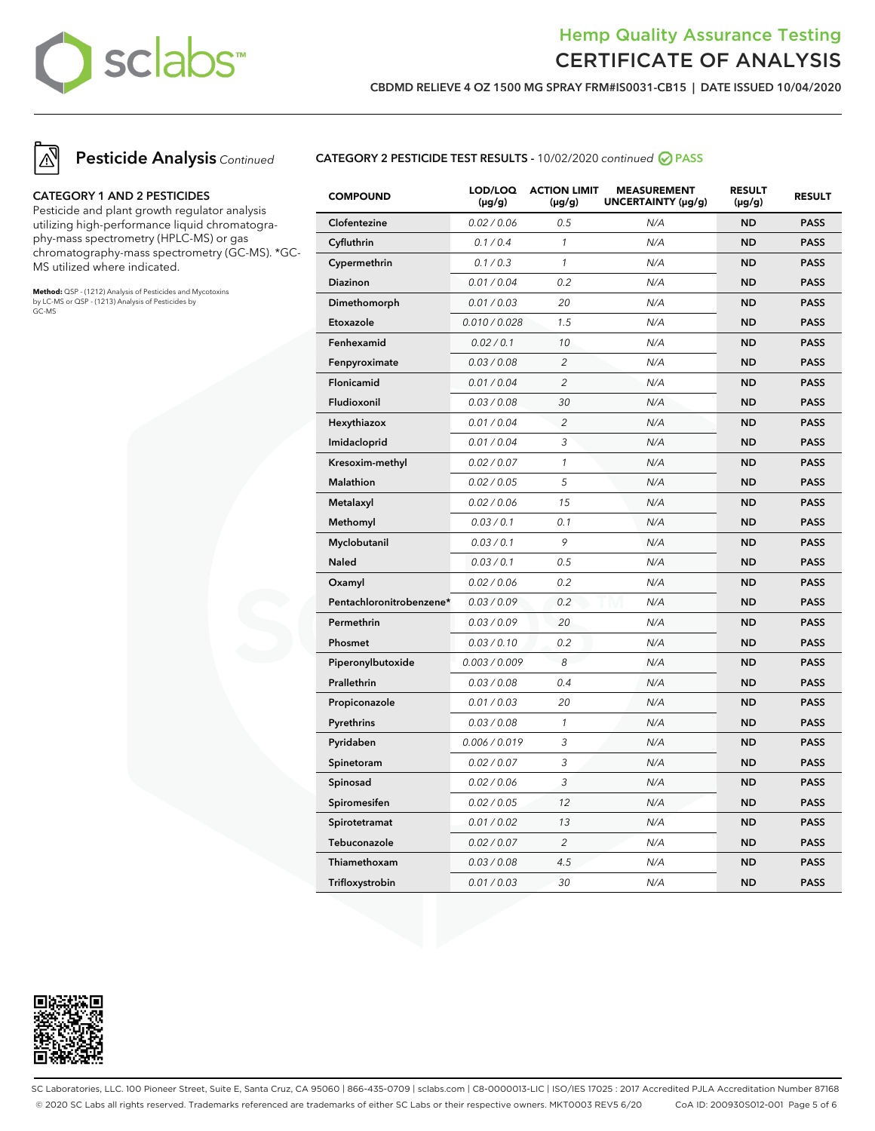

**CBDMD RELIEVE 4 OZ 1500 MG SPRAY FRM#IS0031-CB15 | DATE ISSUED 10/04/2020**



### **Pesticide Analysis** Continued

#### **CATEGORY 1 AND 2 PESTICIDES**

Pesticide and plant growth regulator analysis utilizing high-performance liquid chromatography-mass spectrometry (HPLC-MS) or gas chromatography-mass spectrometry (GC-MS). \*GC-MS utilized where indicated.

**Method:** QSP - (1212) Analysis of Pesticides and Mycotoxins by LC-MS or QSP - (1213) Analysis of Pesticides by GC-MS

### **CATEGORY 2 PESTICIDE TEST RESULTS -** 10/02/2020 continued **PASS**

| <b>COMPOUND</b>          | LOD/LOQ<br>$(\mu g/g)$ | <b>ACTION LIMIT</b><br>$(\mu g/g)$ | <b>MEASUREMENT</b><br>UNCERTAINTY (µg/g) | <b>RESULT</b><br>$(\mu g/g)$ | <b>RESULT</b> |
|--------------------------|------------------------|------------------------------------|------------------------------------------|------------------------------|---------------|
| Clofentezine             | 0.02 / 0.06            | 0.5                                | N/A                                      | <b>ND</b>                    | <b>PASS</b>   |
| Cyfluthrin               | 0.1 / 0.4              | $\mathcal{I}$                      | N/A                                      | <b>ND</b>                    | <b>PASS</b>   |
| Cypermethrin             | 0.1 / 0.3              | $\mathcal{I}$                      | N/A                                      | <b>ND</b>                    | <b>PASS</b>   |
| Diazinon                 | 0.01 / 0.04            | 0.2                                | N/A                                      | <b>ND</b>                    | <b>PASS</b>   |
| Dimethomorph             | 0.01 / 0.03            | 20                                 | N/A                                      | <b>ND</b>                    | <b>PASS</b>   |
| Etoxazole                | 0.010 / 0.028          | 1.5                                | N/A                                      | <b>ND</b>                    | <b>PASS</b>   |
| Fenhexamid               | 0.02 / 0.1             | 10                                 | N/A                                      | ND                           | <b>PASS</b>   |
| Fenpyroximate            | 0.03 / 0.08            | $\overline{c}$                     | N/A                                      | <b>ND</b>                    | <b>PASS</b>   |
| Flonicamid               | 0.01 / 0.04            | $\overline{c}$                     | N/A                                      | <b>ND</b>                    | <b>PASS</b>   |
| Fludioxonil              | 0.03 / 0.08            | 30                                 | N/A                                      | ND                           | <b>PASS</b>   |
| Hexythiazox              | 0.01 / 0.04            | $\overline{2}$                     | N/A                                      | ND                           | <b>PASS</b>   |
| Imidacloprid             | 0.01 / 0.04            | 3                                  | N/A                                      | ND                           | <b>PASS</b>   |
| Kresoxim-methyl          | 0.02 / 0.07            | $\mathcal{I}$                      | N/A                                      | ND                           | <b>PASS</b>   |
| <b>Malathion</b>         | 0.02 / 0.05            | 5                                  | N/A                                      | <b>ND</b>                    | <b>PASS</b>   |
| Metalaxyl                | 0.02 / 0.06            | 15                                 | N/A                                      | <b>ND</b>                    | <b>PASS</b>   |
| Methomyl                 | 0.03 / 0.1             | 0.1                                | N/A                                      | <b>ND</b>                    | <b>PASS</b>   |
| Myclobutanil             | 0.03 / 0.1             | 9                                  | N/A                                      | <b>ND</b>                    | <b>PASS</b>   |
| <b>Naled</b>             | 0.03 / 0.1             | 0.5                                | N/A                                      | ND                           | <b>PASS</b>   |
| Oxamyl                   | 0.02 / 0.06            | 0.2                                | N/A                                      | <b>ND</b>                    | <b>PASS</b>   |
| Pentachloronitrobenzene* | 0.03 / 0.09            | 0.2                                | N/A                                      | <b>ND</b>                    | <b>PASS</b>   |
| Permethrin               | 0.03 / 0.09            | 20                                 | N/A                                      | ND                           | <b>PASS</b>   |
| Phosmet                  | 0.03 / 0.10            | 0.2                                | N/A                                      | <b>ND</b>                    | <b>PASS</b>   |
| Piperonylbutoxide        | 0.003 / 0.009          | 8                                  | N/A                                      | <b>ND</b>                    | <b>PASS</b>   |
| Prallethrin              | 0.03 / 0.08            | 0.4                                | N/A                                      | <b>ND</b>                    | <b>PASS</b>   |
| Propiconazole            | 0.01 / 0.03            | 20                                 | N/A                                      | <b>ND</b>                    | <b>PASS</b>   |
| Pyrethrins               | 0.03 / 0.08            | $\mathcal{I}$                      | N/A                                      | ND                           | <b>PASS</b>   |
| Pyridaben                | 0.006 / 0.019          | 3                                  | N/A                                      | ND                           | <b>PASS</b>   |
| Spinetoram               | 0.02 / 0.07            | 3                                  | N/A                                      | ND                           | <b>PASS</b>   |
| Spinosad                 | 0.02 / 0.06            | 3                                  | N/A                                      | ND                           | <b>PASS</b>   |
| Spiromesifen             | 0.02 / 0.05            | 12                                 | N/A                                      | <b>ND</b>                    | <b>PASS</b>   |
| Spirotetramat            | 0.01 / 0.02            | 13                                 | N/A                                      | <b>ND</b>                    | <b>PASS</b>   |
| Tebuconazole             | 0.02 / 0.07            | $\overline{c}$                     | N/A                                      | <b>ND</b>                    | <b>PASS</b>   |
| Thiamethoxam             | 0.03 / 0.08            | 4.5                                | N/A                                      | <b>ND</b>                    | <b>PASS</b>   |
| Trifloxystrobin          | 0.01 / 0.03            | 30                                 | N/A                                      | ND                           | <b>PASS</b>   |



SC Laboratories, LLC. 100 Pioneer Street, Suite E, Santa Cruz, CA 95060 | 866-435-0709 | sclabs.com | C8-0000013-LIC | ISO/IES 17025 : 2017 Accredited PJLA Accreditation Number 87168 © 2020 SC Labs all rights reserved. Trademarks referenced are trademarks of either SC Labs or their respective owners. MKT0003 REV5 6/20 CoA ID: 200930S012-001 Page 5 of 6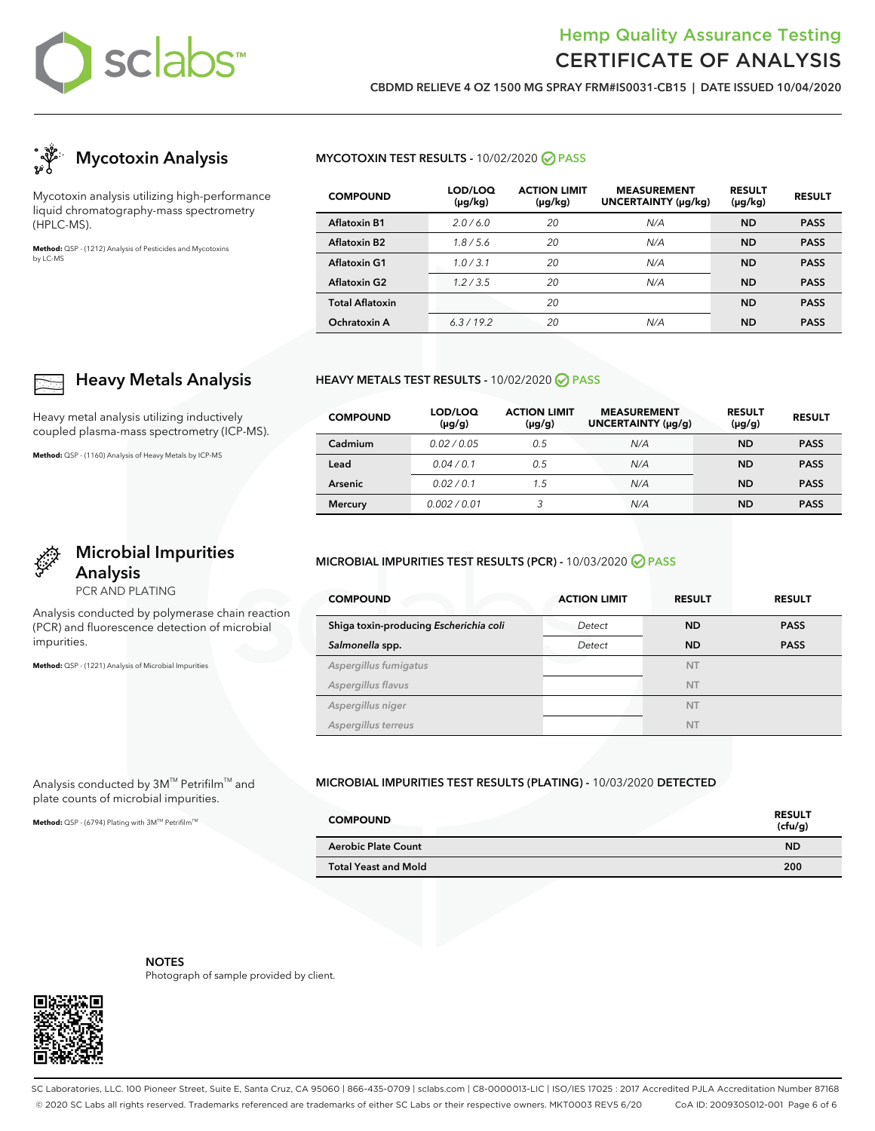

**CBDMD RELIEVE 4 OZ 1500 MG SPRAY FRM#IS0031-CB15 | DATE ISSUED 10/04/2020**



Mycotoxin analysis utilizing high-performance liquid chromatography-mass spectrometry (HPLC-MS).

**Heavy Metals Analysis**

**Microbial Impurities**

Analysis conducted by polymerase chain reaction (PCR) and fluorescence detection of microbial

Heavy metal analysis utilizing inductively coupled plasma-mass spectrometry (ICP-MS).

**Method:** QSP - (1160) Analysis of Heavy Metals by ICP-MS

**Analysis** PCR AND PLATING

**Method:** QSP - (1221) Analysis of Microbial Impurities

Analysis conducted by 3M™ Petrifilm™ and plate counts of microbial impurities. Method: QSP - (6794) Plating with 3M™ Petrifilm<sup>™</sup>

impurities.

**Method:** QSP - (1212) Analysis of Pesticides and Mycotoxins by LC-MS

### **MYCOTOXIN TEST RESULTS -** 10/02/2020 **PASS**

| <b>COMPOUND</b>          | LOD/LOQ<br>(µg/kg) | <b>ACTION LIMIT</b><br>$(\mu g/kg)$ | <b>MEASUREMENT</b><br>UNCERTAINTY (µg/kg) | <b>RESULT</b><br>$(\mu g/kg)$ | <b>RESULT</b> |
|--------------------------|--------------------|-------------------------------------|-------------------------------------------|-------------------------------|---------------|
| <b>Aflatoxin B1</b>      | 2.0/6.0            | 20                                  | N/A                                       | <b>ND</b>                     | <b>PASS</b>   |
| Aflatoxin B <sub>2</sub> | 1.8/5.6            | 20                                  | N/A                                       | <b>ND</b>                     | <b>PASS</b>   |
| <b>Aflatoxin G1</b>      | 1.0/3.1            | 20                                  | N/A                                       | <b>ND</b>                     | <b>PASS</b>   |
| <b>Aflatoxin G2</b>      | 1.2/3.5            | 20                                  | N/A                                       | <b>ND</b>                     | <b>PASS</b>   |
| <b>Total Aflatoxin</b>   |                    | 20                                  |                                           | <b>ND</b>                     | <b>PASS</b>   |
| Ochratoxin A             | 6.3/19.2           | 20                                  | N/A                                       | <b>ND</b>                     | <b>PASS</b>   |

#### **HEAVY METALS TEST RESULTS -** 10/02/2020 **PASS**

| <b>COMPOUND</b> | LOD/LOQ<br>$(\mu g/g)$ | <b>ACTION LIMIT</b><br>$(\mu g/g)$ | <b>MEASUREMENT</b><br>UNCERTAINTY (µg/g) | <b>RESULT</b><br>$(\mu g/g)$ | <b>RESULT</b> |
|-----------------|------------------------|------------------------------------|------------------------------------------|------------------------------|---------------|
| Cadmium         | 0.02/0.05              | 0.5                                | N/A                                      | <b>ND</b>                    | <b>PASS</b>   |
| Lead            | 0.04/0.1               | 0.5                                | N/A                                      | <b>ND</b>                    | <b>PASS</b>   |
| Arsenic         | 0.02/0.1               | 1.5                                | N/A                                      | ND                           | <b>PASS</b>   |
| <b>Mercury</b>  | 0.002/0.01             | 3                                  | N/A                                      | <b>ND</b>                    | <b>PASS</b>   |

#### **MICROBIAL IMPURITIES TEST RESULTS (PCR) -** 10/03/2020 **PASS**

| <b>COMPOUND</b>                        | <b>ACTION LIMIT</b> | <b>RESULT</b> | <b>RESULT</b> |
|----------------------------------------|---------------------|---------------|---------------|
| Shiga toxin-producing Escherichia coli | Detect              | <b>ND</b>     | <b>PASS</b>   |
| Salmonella spp.                        | Detect              | <b>ND</b>     | <b>PASS</b>   |
| Aspergillus fumigatus                  |                     | <b>NT</b>     |               |
| Aspergillus flavus                     |                     | <b>NT</b>     |               |
| Aspergillus niger                      |                     | <b>NT</b>     |               |
| Aspergillus terreus                    |                     | <b>NT</b>     |               |

### **MICROBIAL IMPURITIES TEST RESULTS (PLATING) -** 10/03/2020 **DETECTED**

| <b>COMPOUND</b>             | <b>RESULT</b><br>(cfu/g) |
|-----------------------------|--------------------------|
| <b>Aerobic Plate Count</b>  | <b>ND</b>                |
| <b>Total Yeast and Mold</b> | 200                      |



**NOTES** Photograph of sample provided by client.

SC Laboratories, LLC. 100 Pioneer Street, Suite E, Santa Cruz, CA 95060 | 866-435-0709 | sclabs.com | C8-0000013-LIC | ISO/IES 17025 : 2017 Accredited PJLA Accreditation Number 87168 © 2020 SC Labs all rights reserved. Trademarks referenced are trademarks of either SC Labs or their respective owners. MKT0003 REV5 6/20 CoA ID: 200930S012-001 Page 6 of 6